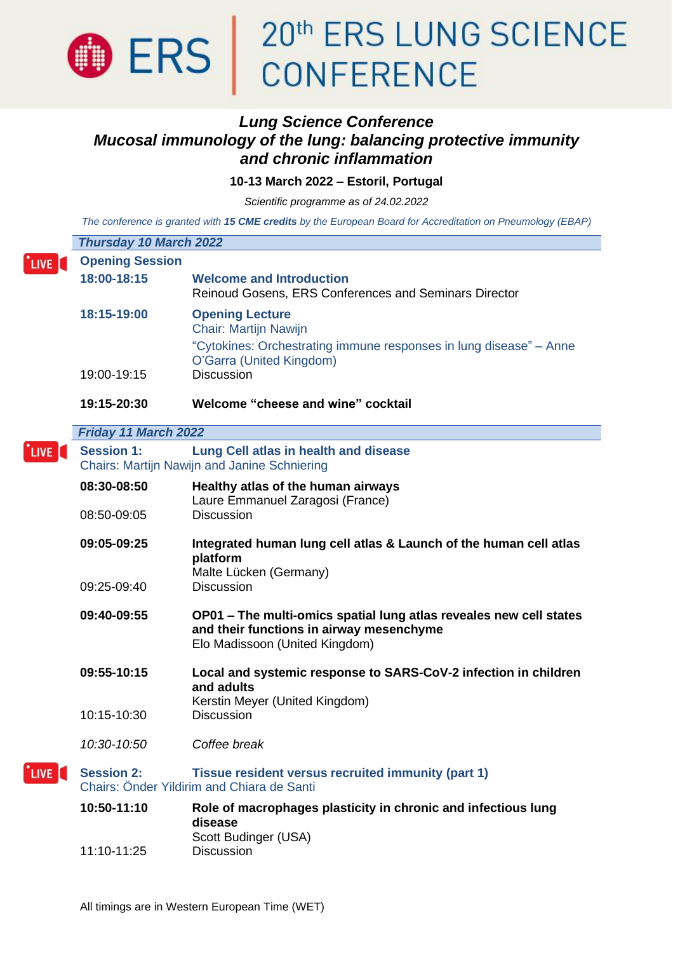

### *Lung Science Conference Mucosal immunology of the lung: balancing protective immunity and chronic inflammation*

**10-13 March 2022 – Estoril, Portugal**

*Scientific programme as of 24.02.2022*

The conference is granted with 15 CME credits by the European Board for Accreditation on Pneumology (EBAP)

| <b>Thursday 10 March 2022</b> |                                                                                                                                                   |  |
|-------------------------------|---------------------------------------------------------------------------------------------------------------------------------------------------|--|
| <b>Opening Session</b>        |                                                                                                                                                   |  |
| 18:00-18:15                   | <b>Welcome and Introduction</b><br>Reinoud Gosens, ERS Conferences and Seminars Director                                                          |  |
| 18:15-19:00                   | <b>Opening Lecture</b><br>Chair: Martijn Nawijn<br>"Cytokines: Orchestrating immune responses in lung disease" - Anne<br>O'Garra (United Kingdom) |  |
| 19:00-19:15                   | <b>Discussion</b>                                                                                                                                 |  |
| 19:15-20:30                   | Welcome "cheese and wine" cocktail                                                                                                                |  |
| Friday 11 March 2022          |                                                                                                                                                   |  |
| <b>Session 1:</b>             | Lung Cell atlas in health and disease<br><b>Chairs: Martijn Nawijn and Janine Schniering</b>                                                      |  |
| 08:30-08:50                   | Healthy atlas of the human airways                                                                                                                |  |
| 08:50-09:05                   | Laure Emmanuel Zaragosi (France)<br><b>Discussion</b>                                                                                             |  |
| 09:05-09:25                   | Integrated human lung cell atlas & Launch of the human cell atlas<br>platform<br>Malte Lücken (Germany)                                           |  |
| 09:25-09:40                   | <b>Discussion</b>                                                                                                                                 |  |
| 09:40-09:55                   | OP01 - The multi-omics spatial lung atlas reveales new cell states<br>and their functions in airway mesenchyme<br>Elo Madissoon (United Kingdom)  |  |
| 09:55-10:15                   | Local and systemic response to SARS-CoV-2 infection in children<br>and adults<br>Kerstin Meyer (United Kingdom)                                   |  |
| 10:15-10:30                   | <b>Discussion</b>                                                                                                                                 |  |
| 10:30-10:50                   | Coffee break                                                                                                                                      |  |
| <b>Session 2:</b>             | Tissue resident versus recruited immunity (part 1)<br>Chairs: Önder Yildirim and Chiara de Santi                                                  |  |
| 10:50-11:10                   | Role of macrophages plasticity in chronic and infectious lung<br>disease<br>Scott Budinger (USA)                                                  |  |
| 11:10-11:25                   | Discussion                                                                                                                                        |  |
|                               |                                                                                                                                                   |  |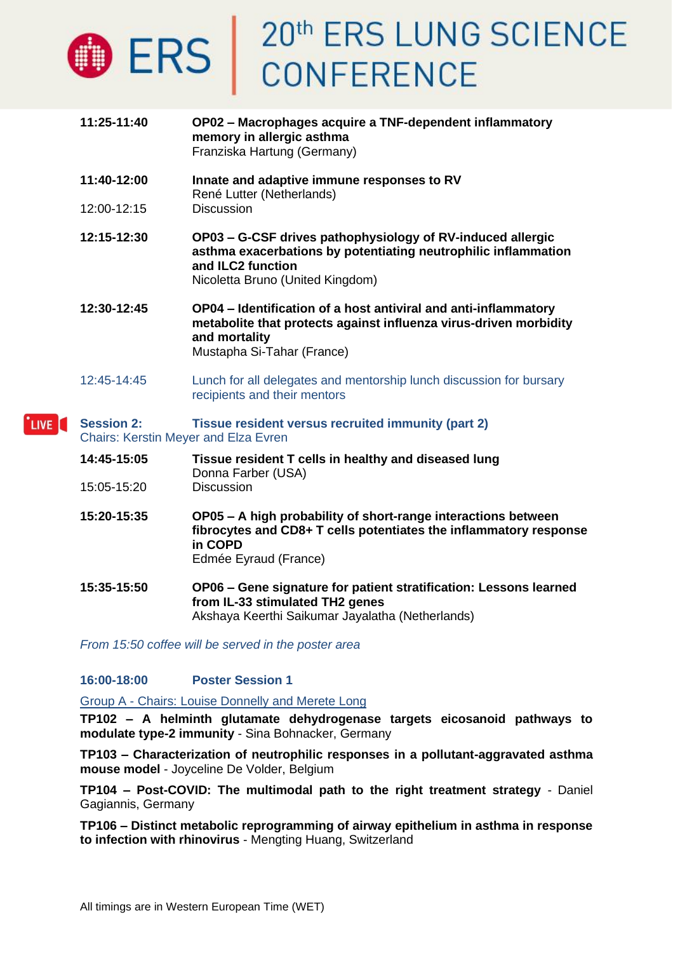

- **11:25-11:40 OP02 – Macrophages acquire a TNF-dependent inflammatory memory in allergic asthma** Franziska Hartung (Germany)
- **11:40-12:00 Innate and adaptive immune responses to RV** René Lutter (Netherlands)
- 12:00-12:15 Discussion

**12:15-12:30 OP03 – G-CSF drives pathophysiology of RV-induced allergic asthma exacerbations by potentiating neutrophilic inflammation and ILC2 function** Nicoletta Bruno (United Kingdom)

- **12:30-12:45 OP04 – Identification of a host antiviral and anti-inflammatory metabolite that protects against influenza virus-driven morbidity and mortality** Mustapha Si-Tahar (France)
- 12:45-14:45 Lunch for all delegates and mentorship lunch discussion for bursary recipients and their mentors

#### **Session 2: Tissue resident versus recruited immunity (part 2)** LIVE [ Chairs: Kerstin Meyer and Elza Evren

- **14:45-15:05 Tissue resident T cells in healthy and diseased lung** Donna Farber (USA) 15:05-15:20 Discussion
- **15:20-15:35 OP05 – A high probability of short-range interactions between fibrocytes and CD8+ T cells potentiates the inflammatory response in COPD** Edmée Eyraud (France)
- **15:35-15:50 OP06 – Gene signature for patient stratification: Lessons learned from IL-33 stimulated TH2 genes** Akshaya Keerthi Saikumar Jayalatha (Netherlands)

*From 15:50 coffee will be served in the poster area*

### **16:00-18:00 Poster Session 1**

Group A - Chairs: Louise Donnelly and Merete Long

**TP102 – A helminth glutamate dehydrogenase targets eicosanoid pathways to modulate type-2 immunity** - Sina Bohnacker, Germany

**TP103 – Characterization of neutrophilic responses in a pollutant-aggravated asthma mouse model** - Joyceline De Volder, Belgium

**TP104 – Post-COVID: The multimodal path to the right treatment strategy** - Daniel Gagiannis, Germany

**TP106 – Distinct metabolic reprogramming of airway epithelium in asthma in response to infection with rhinovirus** - Mengting Huang, Switzerland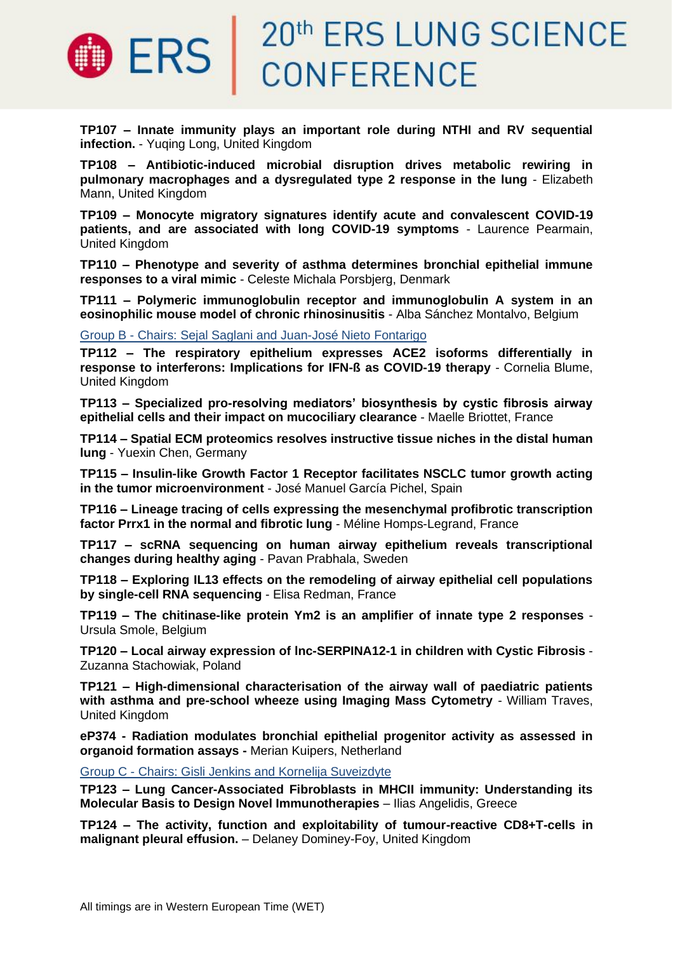

**TP107 – Innate immunity plays an important role during NTHI and RV sequential infection.** - Yuqing Long, United Kingdom

**TP108 – Antibiotic-induced microbial disruption drives metabolic rewiring in pulmonary macrophages and a dysregulated type 2 response in the lung** - Elizabeth Mann, United Kingdom

**TP109 – Monocyte migratory signatures identify acute and convalescent COVID-19 patients, and are associated with long COVID-19 symptoms** - Laurence Pearmain, United Kingdom

**TP110 – Phenotype and severity of asthma determines bronchial epithelial immune responses to a viral mimic** - Celeste Michala Porsbjerg, Denmark

**TP111 – Polymeric immunoglobulin receptor and immunoglobulin A system in an eosinophilic mouse model of chronic rhinosinusitis** - Alba Sánchez Montalvo, Belgium

Group B - Chairs: Sejal Saglani and Juan-José Nieto Fontarigo

**TP112 – The respiratory epithelium expresses ACE2 isoforms differentially in response to interferons: Implications for IFN-ß as COVID-19 therapy** - Cornelia Blume, United Kingdom

**TP113 – Specialized pro-resolving mediators' biosynthesis by cystic fibrosis airway epithelial cells and their impact on mucociliary clearance** - Maelle Briottet, France

**TP114 – Spatial ECM proteomics resolves instructive tissue niches in the distal human lung** - Yuexin Chen, Germany

**TP115 – Insulin-like Growth Factor 1 Receptor facilitates NSCLC tumor growth acting in the tumor microenvironment** - José Manuel García Pichel, Spain

**TP116 – Lineage tracing of cells expressing the mesenchymal profibrotic transcription factor Prrx1 in the normal and fibrotic lung** - Méline Homps-Legrand, France

**TP117 – scRNA sequencing on human airway epithelium reveals transcriptional changes during healthy aging** - Pavan Prabhala, Sweden

**TP118 – Exploring IL13 effects on the remodeling of airway epithelial cell populations by single-cell RNA sequencing** - Elisa Redman, France

**TP119 – The chitinase-like protein Ym2 is an amplifier of innate type 2 responses** - Ursula Smole, Belgium

**TP120 – Local airway expression of lnc-SERPINA12-1 in children with Cystic Fibrosis** - Zuzanna Stachowiak, Poland

**TP121 – High-dimensional characterisation of the airway wall of paediatric patients with asthma and pre-school wheeze using Imaging Mass Cytometry** - William Traves, United Kingdom

**eP374 - Radiation modulates bronchial epithelial progenitor activity as assessed in organoid formation assays -** Merian Kuipers, Netherland

Group C - Chairs: Gisli Jenkins and Kornelija Suveizdyte

**TP123 – Lung Cancer-Associated Fibroblasts in MHCII immunity: Understanding its Molecular Basis to Design Novel Immunotherapies** – Ilias Angelidis, Greece

**TP124 – The activity, function and exploitability of tumour-reactive CD8+T-cells in malignant pleural effusion.** – Delaney Dominey-Foy, United Kingdom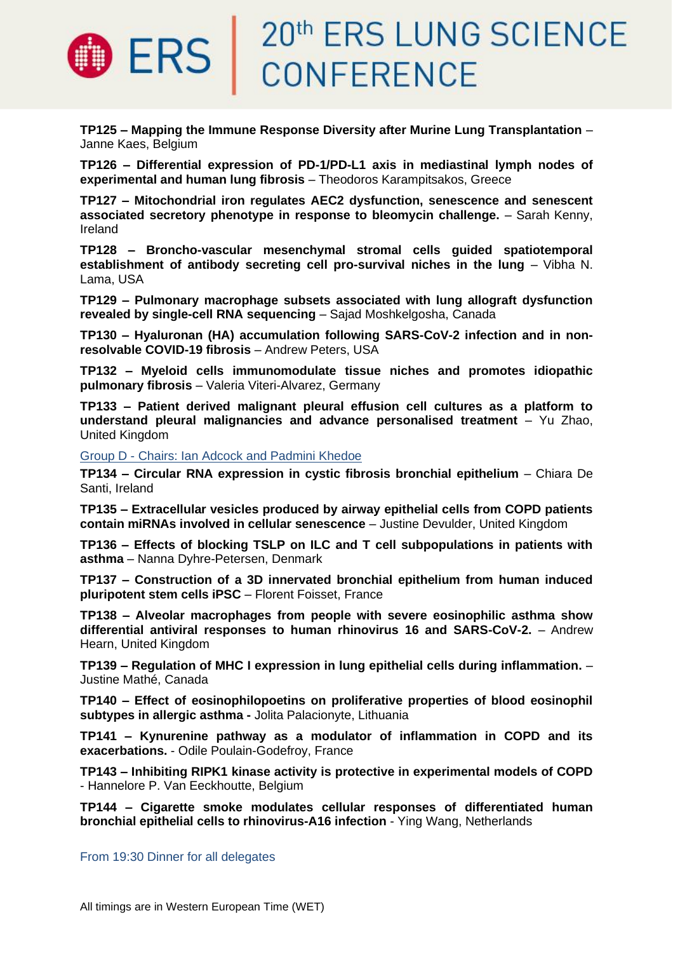

**TP125 – Mapping the Immune Response Diversity after Murine Lung Transplantation** – Janne Kaes, Belgium

**TP126 – Differential expression of PD-1/PD-L1 axis in mediastinal lymph nodes of experimental and human lung fibrosis** – Theodoros Karampitsakos, Greece

**TP127 – Mitochondrial iron regulates AEC2 dysfunction, senescence and senescent associated secretory phenotype in response to bleomycin challenge.** – Sarah Kenny, Ireland

**TP128 – Broncho-vascular mesenchymal stromal cells guided spatiotemporal establishment of antibody secreting cell pro-survival niches in the lung - Vibha N.** Lama, USA

**TP129 – Pulmonary macrophage subsets associated with lung allograft dysfunction revealed by single-cell RNA sequencing** – Sajad Moshkelgosha, Canada

**TP130 – Hyaluronan (HA) accumulation following SARS-CoV-2 infection and in nonresolvable COVID-19 fibrosis** – Andrew Peters, USA

**TP132 – Myeloid cells immunomodulate tissue niches and promotes idiopathic pulmonary fibrosis** – Valeria Viteri-Alvarez, Germany

**TP133 – Patient derived malignant pleural effusion cell cultures as a platform to understand pleural malignancies and advance personalised treatment** – Yu Zhao, United Kingdom

Group D - Chairs: Ian Adcock and Padmini Khedoe

**TP134 – Circular RNA expression in cystic fibrosis bronchial epithelium** – Chiara De Santi, Ireland

**TP135 – Extracellular vesicles produced by airway epithelial cells from COPD patients contain miRNAs involved in cellular senescence** – Justine Devulder, United Kingdom

**TP136 – Effects of blocking TSLP on ILC and T cell subpopulations in patients with asthma** – Nanna Dyhre-Petersen, Denmark

**TP137 – Construction of a 3D innervated bronchial epithelium from human induced pluripotent stem cells iPSC** – Florent Foisset, France

**TP138 – Alveolar macrophages from people with severe eosinophilic asthma show differential antiviral responses to human rhinovirus 16 and SARS-CoV-2.** – Andrew Hearn, United Kingdom

**TP139 – Regulation of MHC I expression in lung epithelial cells during inflammation.** – Justine Mathé, Canada

**TP140 – Effect of eosinophilopoetins on proliferative properties of blood eosinophil subtypes in allergic asthma -** Jolita Palacionyte, Lithuania

**TP141 – Kynurenine pathway as a modulator of inflammation in COPD and its exacerbations.** - Odile Poulain-Godefroy, France

**TP143 – Inhibiting RIPK1 kinase activity is protective in experimental models of COPD**  - Hannelore P. Van Eeckhoutte, Belgium

**TP144 – Cigarette smoke modulates cellular responses of differentiated human bronchial epithelial cells to rhinovirus-A16 infection** - Ying Wang, Netherlands

From 19:30 Dinner for all delegates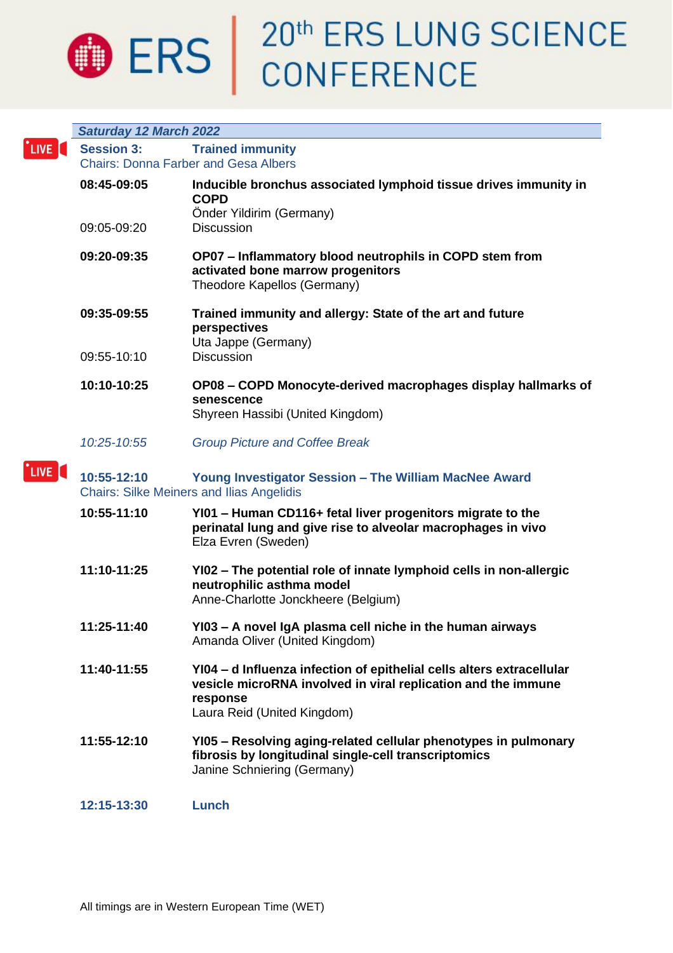

# **O ERS** 20<sup>th</sup> ERS LUNG SCIENCE

|             | <b>Saturday 12 March 2022</b>               |                                                                                                                                                                                   |  |
|-------------|---------------------------------------------|-----------------------------------------------------------------------------------------------------------------------------------------------------------------------------------|--|
| `LIVE [     | <b>Session 3:</b>                           | <b>Trained immunity</b>                                                                                                                                                           |  |
|             | <b>Chairs: Donna Farber and Gesa Albers</b> |                                                                                                                                                                                   |  |
|             | 08:45-09:05                                 | Inducible bronchus associated lymphoid tissue drives immunity in<br><b>COPD</b><br>Önder Yildirim (Germany)                                                                       |  |
|             | 09:05-09:20                                 | <b>Discussion</b>                                                                                                                                                                 |  |
|             | 09:20-09:35                                 | OP07 - Inflammatory blood neutrophils in COPD stem from<br>activated bone marrow progenitors<br>Theodore Kapellos (Germany)                                                       |  |
|             | 09:35-09:55                                 | Trained immunity and allergy: State of the art and future<br>perspectives<br>Uta Jappe (Germany)                                                                                  |  |
|             | 09:55-10:10                                 | <b>Discussion</b>                                                                                                                                                                 |  |
|             | 10:10-10:25                                 | OP08 - COPD Monocyte-derived macrophages display hallmarks of<br>senescence<br>Shyreen Hassibi (United Kingdom)                                                                   |  |
|             | 10:25-10:55                                 | <b>Group Picture and Coffee Break</b>                                                                                                                                             |  |
| <b>LIVE</b> | 10:55-12:10                                 | Young Investigator Session - The William MacNee Award<br><b>Chairs: Silke Meiners and Ilias Angelidis</b>                                                                         |  |
|             | 10:55-11:10                                 | YI01 - Human CD116+ fetal liver progenitors migrate to the<br>perinatal lung and give rise to alveolar macrophages in vivo<br>Elza Evren (Sweden)                                 |  |
|             | 11:10-11:25                                 | YI02 - The potential role of innate lymphoid cells in non-allergic<br>neutrophilic asthma model<br>Anne-Charlotte Jonckheere (Belgium)                                            |  |
|             | 11:25-11:40                                 | YI03 - A novel IgA plasma cell niche in the human airways<br>Amanda Oliver (United Kingdom)                                                                                       |  |
|             | 11:40-11:55                                 | YI04 - d Influenza infection of epithelial cells alters extracellular<br>vesicle microRNA involved in viral replication and the immune<br>response<br>Laura Reid (United Kingdom) |  |
|             | 11:55-12:10                                 | YI05 - Resolving aging-related cellular phenotypes in pulmonary<br>fibrosis by longitudinal single-cell transcriptomics<br>Janine Schniering (Germany)                            |  |
|             | 12:15-13:30                                 | Lunch                                                                                                                                                                             |  |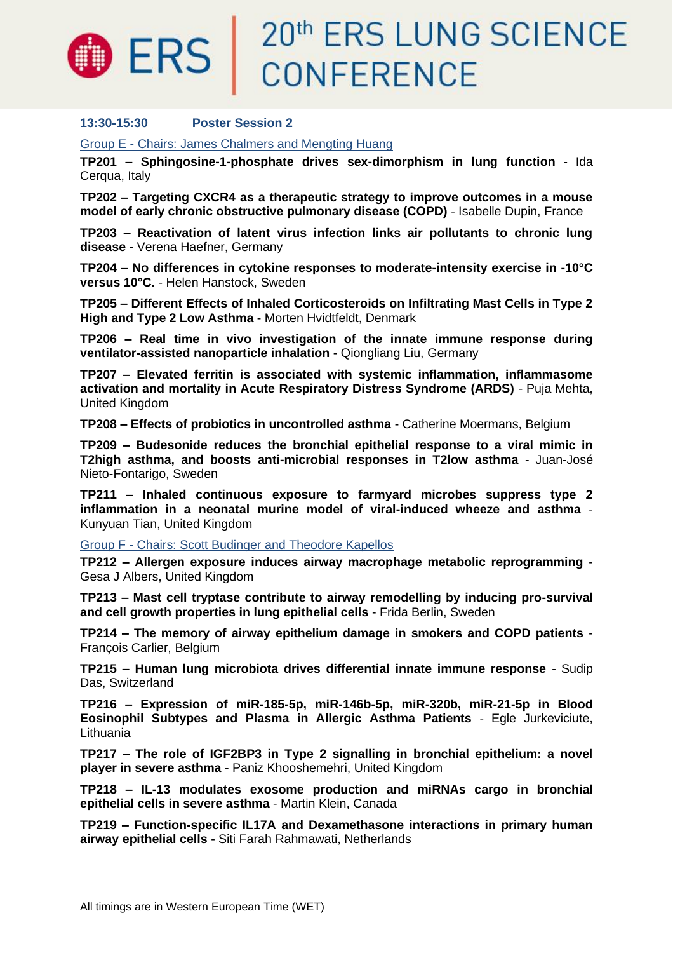

## 20th ERS LUNG SCIENCE CONFERENCE

### **13:30-15:30 Poster Session 2**

Group E - Chairs: James Chalmers and Mengting Huang

**TP201 – Sphingosine-1-phosphate drives sex-dimorphism in lung function** - Ida Cerqua, Italy

**TP202 – Targeting CXCR4 as a therapeutic strategy to improve outcomes in a mouse model of early chronic obstructive pulmonary disease (COPD)** - Isabelle Dupin, France

**TP203 – Reactivation of latent virus infection links air pollutants to chronic lung disease** - Verena Haefner, Germany

**TP204 – No differences in cytokine responses to moderate-intensity exercise in -10°C versus 10°C.** - Helen Hanstock, Sweden

**TP205 – Different Effects of Inhaled Corticosteroids on Infiltrating Mast Cells in Type 2 High and Type 2 Low Asthma** - Morten Hvidtfeldt, Denmark

**TP206 – Real time in vivo investigation of the innate immune response during ventilator-assisted nanoparticle inhalation** - Qiongliang Liu, Germany

**TP207 – Elevated ferritin is associated with systemic inflammation, inflammasome activation and mortality in Acute Respiratory Distress Syndrome (ARDS)** - Puja Mehta, United Kingdom

**TP208 – Effects of probiotics in uncontrolled asthma** - Catherine Moermans, Belgium

**TP209 – Budesonide reduces the bronchial epithelial response to a viral mimic in T2high asthma, and boosts anti-microbial responses in T2low asthma** - Juan-José Nieto-Fontarigo, Sweden

**TP211 – Inhaled continuous exposure to farmyard microbes suppress type 2 inflammation in a neonatal murine model of viral-induced wheeze and asthma** - Kunyuan Tian, United Kingdom

Group F - Chairs: Scott Budinger and Theodore Kapellos

**TP212 – Allergen exposure induces airway macrophage metabolic reprogramming** - Gesa J Albers, United Kingdom

**TP213 – Mast cell tryptase contribute to airway remodelling by inducing pro-survival and cell growth properties in lung epithelial cells** - Frida Berlin, Sweden

**TP214 – The memory of airway epithelium damage in smokers and COPD patients** - François Carlier, Belgium

**TP215 – Human lung microbiota drives differential innate immune response** - Sudip Das, Switzerland

**TP216 – Expression of miR-185-5p, miR-146b-5p, miR-320b, miR-21-5p in Blood Eosinophil Subtypes and Plasma in Allergic Asthma Patients** - Egle Jurkeviciute, Lithuania

**TP217 – The role of IGF2BP3 in Type 2 signalling in bronchial epithelium: a novel player in severe asthma** - Paniz Khooshemehri, United Kingdom

**TP218 – IL-13 modulates exosome production and miRNAs cargo in bronchial epithelial cells in severe asthma** - Martin Klein, Canada

**TP219 – Function-specific IL17A and Dexamethasone interactions in primary human airway epithelial cells** - Siti Farah Rahmawati, Netherlands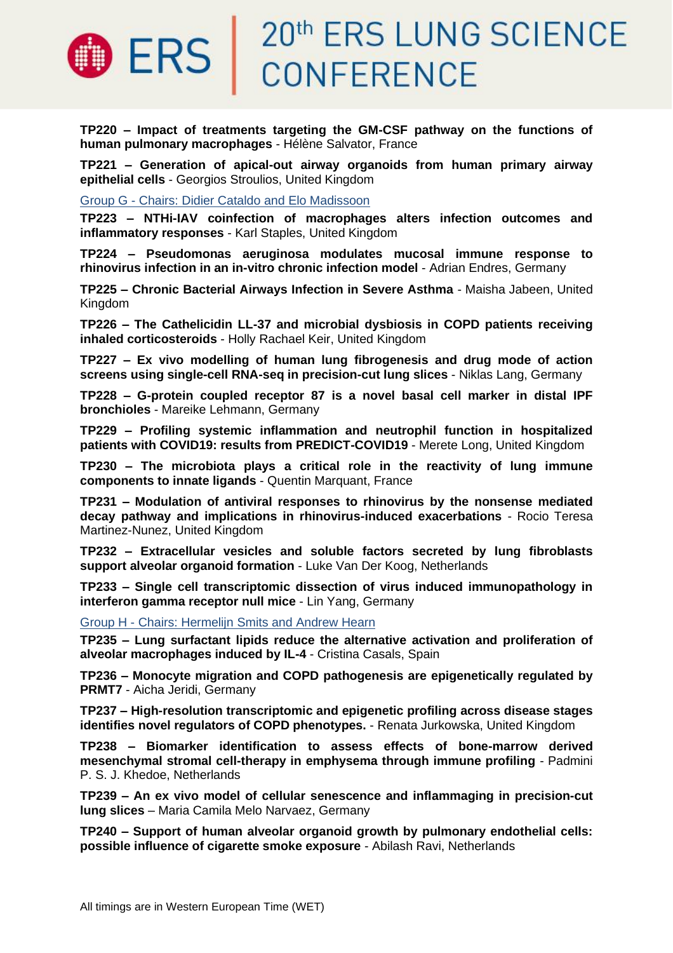

**TP220 – Impact of treatments targeting the GM-CSF pathway on the functions of human pulmonary macrophages** - Hélène Salvator, France

**TP221 – Generation of apical-out airway organoids from human primary airway epithelial cells** - Georgios Stroulios, United Kingdom

Group G - Chairs: Didier Cataldo and Elo Madissoon

**TP223 – NTHi-IAV coinfection of macrophages alters infection outcomes and inflammatory responses** - Karl Staples, United Kingdom

**TP224 – Pseudomonas aeruginosa modulates mucosal immune response to rhinovirus infection in an in-vitro chronic infection model** - Adrian Endres, Germany

**TP225 – Chronic Bacterial Airways Infection in Severe Asthma** - Maisha Jabeen, United Kingdom

**TP226 – The Cathelicidin LL-37 and microbial dysbiosis in COPD patients receiving inhaled corticosteroids** - Holly Rachael Keir, United Kingdom

**TP227 – Ex vivo modelling of human lung fibrogenesis and drug mode of action screens using single-cell RNA-seq in precision-cut lung slices** - Niklas Lang, Germany

**TP228 – G-protein coupled receptor 87 is a novel basal cell marker in distal IPF bronchioles** - Mareike Lehmann, Germany

**TP229 – Profiling systemic inflammation and neutrophil function in hospitalized patients with COVID19: results from PREDICT-COVID19** - Merete Long, United Kingdom

**TP230 – The microbiota plays a critical role in the reactivity of lung immune components to innate ligands** - Quentin Marquant, France

**TP231 – Modulation of antiviral responses to rhinovirus by the nonsense mediated decay pathway and implications in rhinovirus-induced exacerbations** - Rocio Teresa Martinez-Nunez, United Kingdom

**TP232 – Extracellular vesicles and soluble factors secreted by lung fibroblasts support alveolar organoid formation** - Luke Van Der Koog, Netherlands

**TP233 – Single cell transcriptomic dissection of virus induced immunopathology in interferon gamma receptor null mice** - Lin Yang, Germany

Group H - Chairs: Hermelijn Smits and Andrew Hearn

**TP235 – Lung surfactant lipids reduce the alternative activation and proliferation of alveolar macrophages induced by IL-4** - Cristina Casals, Spain

**TP236 – Monocyte migration and COPD pathogenesis are epigenetically regulated by PRMT7** - Aicha Jeridi, Germany

**TP237 – High-resolution transcriptomic and epigenetic profiling across disease stages identifies novel regulators of COPD phenotypes.** - Renata Jurkowska, United Kingdom

**TP238 – Biomarker identification to assess effects of bone-marrow derived mesenchymal stromal cell-therapy in emphysema through immune profiling** - Padmini P. S. J. Khedoe, Netherlands

**TP239 – An ex vivo model of cellular senescence and inflammaging in precision-cut lung slices** – Maria Camila Melo Narvaez, Germany

**TP240 – Support of human alveolar organoid growth by pulmonary endothelial cells: possible influence of cigarette smoke exposure** - Abilash Ravi, Netherlands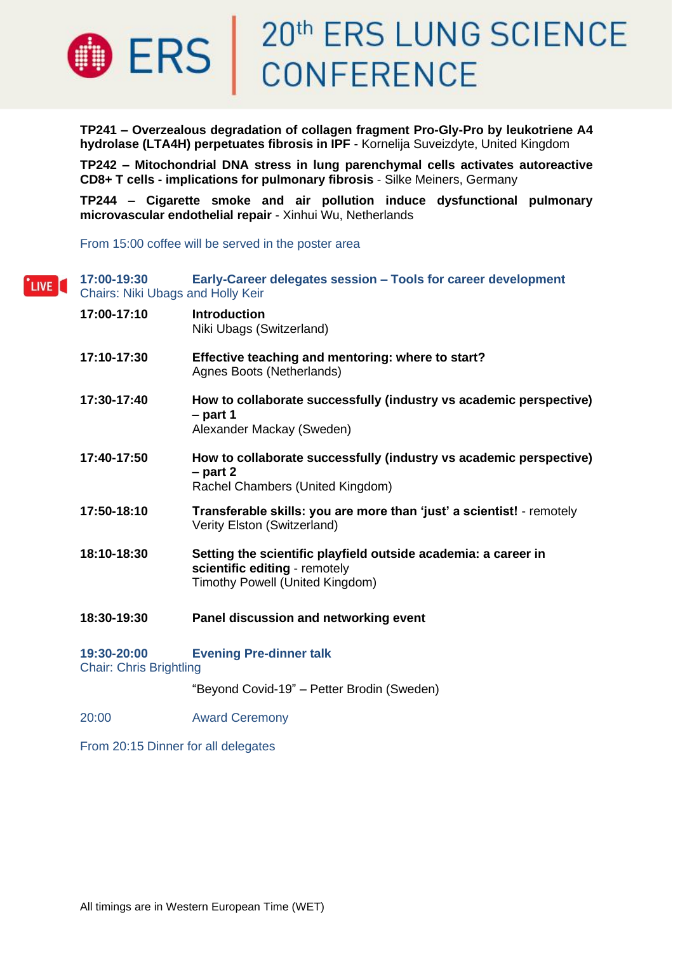

**TP241 – Overzealous degradation of collagen fragment Pro-Gly-Pro by leukotriene A4 hydrolase (LTA4H) perpetuates fibrosis in IPF** - Kornelija Suveizdyte, United Kingdom

**TP242 – Mitochondrial DNA stress in lung parenchymal cells activates autoreactive CD8+ T cells - implications for pulmonary fibrosis** - Silke Meiners, Germany

**TP244 – Cigarette smoke and air pollution induce dysfunctional pulmonary microvascular endothelial repair** - Xinhui Wu, Netherlands

From 15:00 coffee will be served in the poster area

| LIVE [ | 17:00-19:30<br><b>Chairs: Niki Ubags and Holly Keir</b> | Early-Career delegates session - Tools for career development                                                                      |
|--------|---------------------------------------------------------|------------------------------------------------------------------------------------------------------------------------------------|
|        | 17:00-17:10                                             | <b>Introduction</b><br>Niki Ubags (Switzerland)                                                                                    |
|        | 17:10-17:30                                             | Effective teaching and mentoring: where to start?<br>Agnes Boots (Netherlands)                                                     |
|        | 17:30-17:40                                             | How to collaborate successfully (industry vs academic perspective)<br>$-$ part 1<br>Alexander Mackay (Sweden)                      |
|        | 17:40-17:50                                             | How to collaborate successfully (industry vs academic perspective)<br>$-$ part 2<br>Rachel Chambers (United Kingdom)               |
|        | 17:50-18:10                                             | Transferable skills: you are more than 'just' a scientist! - remotely<br>Verity Elston (Switzerland)                               |
|        | 18:10-18:30                                             | Setting the scientific playfield outside academia: a career in<br>scientific editing - remotely<br>Timothy Powell (United Kingdom) |
|        | 18:30-19:30                                             | Panel discussion and networking event                                                                                              |
|        | 19:30-20:00<br><b>Chair: Chris Brightling</b>           | <b>Evening Pre-dinner talk</b>                                                                                                     |
|        |                                                         | "Beyond Covid-19" - Petter Brodin (Sweden)                                                                                         |

20:00 Award Ceremony

From 20:15 Dinner for all delegates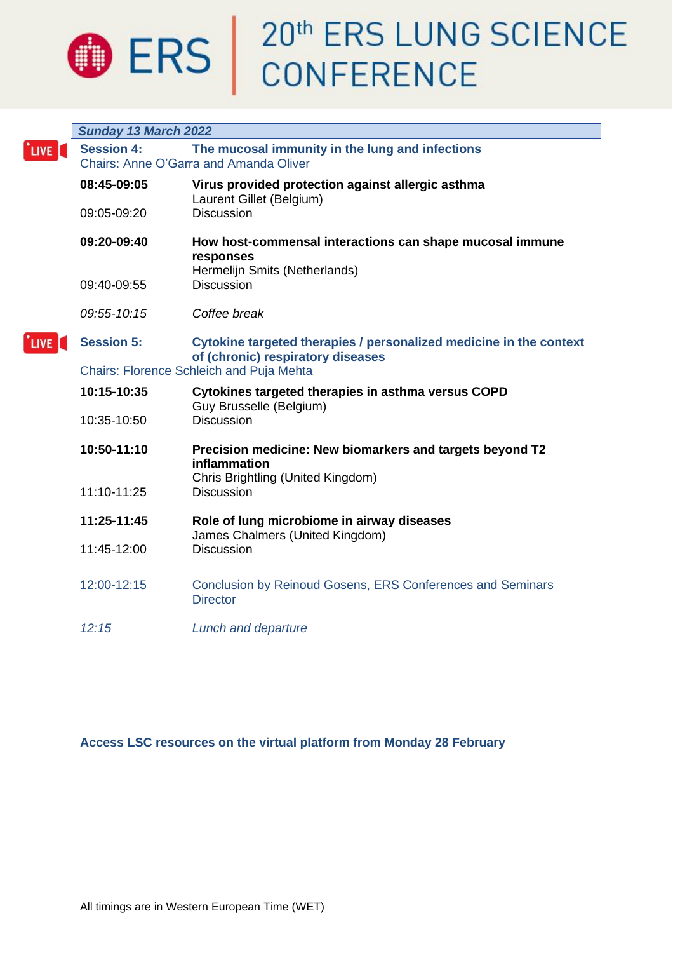

# **ERS** 20<sup>th</sup> ERS LUNG SCIENCE

|                  | Sunday 13 March 2022                                                                                                  |                                                                                                               |  |
|------------------|-----------------------------------------------------------------------------------------------------------------------|---------------------------------------------------------------------------------------------------------------|--|
| LIVE <sup></sup> | The mucosal immunity in the lung and infections<br><b>Session 4:</b><br><b>Chairs: Anne O'Garra and Amanda Oliver</b> |                                                                                                               |  |
|                  | 08:45-09:05                                                                                                           | Virus provided protection against allergic asthma<br>Laurent Gillet (Belgium)                                 |  |
|                  | 09:05-09:20                                                                                                           | <b>Discussion</b>                                                                                             |  |
|                  | 09:20-09:40                                                                                                           | How host-commensal interactions can shape mucosal immune<br>responses<br>Hermelijn Smits (Netherlands)        |  |
|                  | 09:40-09:55                                                                                                           | <b>Discussion</b>                                                                                             |  |
|                  | 09:55-10:15                                                                                                           | Coffee break                                                                                                  |  |
| <b>LIVE</b>      | <b>Session 5:</b>                                                                                                     | Cytokine targeted therapies / personalized medicine in the context<br>of (chronic) respiratory diseases       |  |
|                  | <b>Chairs: Florence Schleich and Puja Mehta</b>                                                                       |                                                                                                               |  |
|                  | 10:15-10:35                                                                                                           | Cytokines targeted therapies in asthma versus COPD<br>Guy Brusselle (Belgium)                                 |  |
|                  | 10:35-10:50                                                                                                           | <b>Discussion</b>                                                                                             |  |
|                  | 10:50-11:10                                                                                                           | Precision medicine: New biomarkers and targets beyond T2<br>inflammation<br>Chris Brightling (United Kingdom) |  |
|                  | 11:10-11:25                                                                                                           | <b>Discussion</b>                                                                                             |  |
|                  | 11:25-11:45                                                                                                           | Role of lung microbiome in airway diseases<br>James Chalmers (United Kingdom)                                 |  |
|                  | 11:45-12:00                                                                                                           | <b>Discussion</b>                                                                                             |  |
|                  | 12:00-12:15                                                                                                           | <b>Conclusion by Reinoud Gosens, ERS Conferences and Seminars</b><br><b>Director</b>                          |  |
|                  | 12:15                                                                                                                 | Lunch and departure                                                                                           |  |

**Access LSC resources on the virtual platform from Monday 28 February**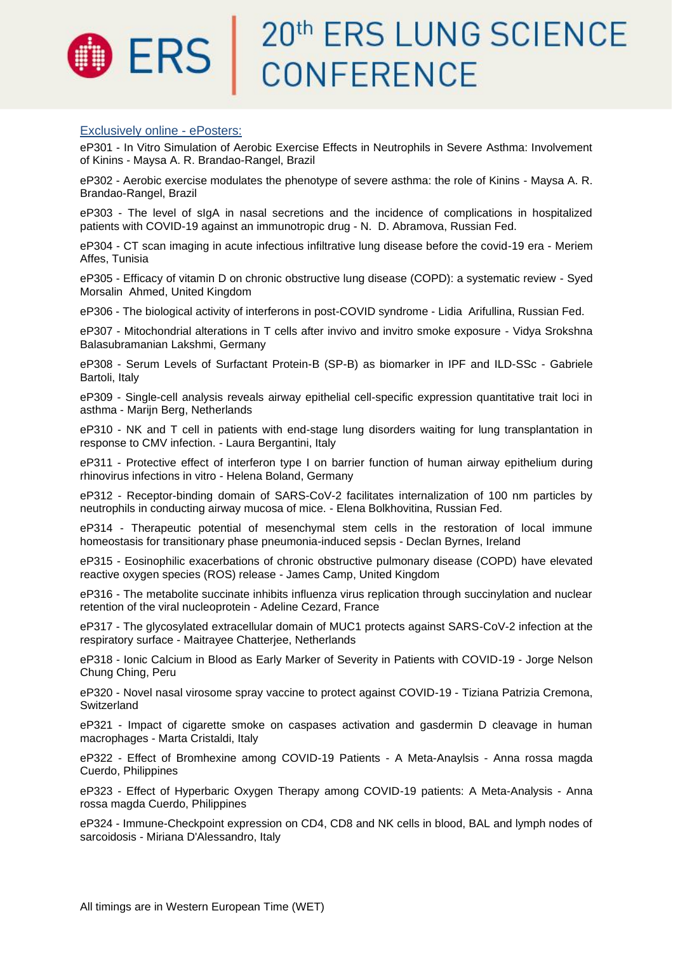## 20<sup>th</sup> ERS LUNG SCIENCE<br>CONFERENCE **ERS**

#### Exclusively online - ePosters:

eP301 - In Vitro Simulation of Aerobic Exercise Effects in Neutrophils in Severe Asthma: Involvement of Kinins - Maysa A. R. Brandao-Rangel, Brazil

eP302 - Aerobic exercise modulates the phenotype of severe asthma: the role of Kinins - Maysa A. R. Brandao-Rangel, Brazil

eP303 - The level of sIgA in nasal secretions and the incidence of complications in hospitalized patients with COVID-19 against an immunotropic drug - N. D. Abramova, Russian Fed.

eP304 - CT scan imaging in acute infectious infiltrative lung disease before the covid-19 era - Meriem Affes, Tunisia

eP305 - Efficacy of vitamin D on chronic obstructive lung disease (COPD): a systematic review - Syed Morsalin Ahmed, United Kingdom

eP306 - The biological activity of interferons in post-COVID syndrome - Lidia Arifullina, Russian Fed.

eP307 - Mitochondrial alterations in T cells after invivo and invitro smoke exposure - Vidya Srokshna Balasubramanian Lakshmi, Germany

eP308 - Serum Levels of Surfactant Protein-B (SP-B) as biomarker in IPF and ILD-SSc - Gabriele Bartoli, Italy

eP309 - Single-cell analysis reveals airway epithelial cell-specific expression quantitative trait loci in asthma - Marijn Berg, Netherlands

eP310 - NK and T cell in patients with end-stage lung disorders waiting for lung transplantation in response to CMV infection. - Laura Bergantini, Italy

eP311 - Protective effect of interferon type I on barrier function of human airway epithelium during rhinovirus infections in vitro - Helena Boland, Germany

eP312 - Receptor-binding domain of SARS-CoV-2 facilitates internalization of 100 nm particles by neutrophils in conducting airway mucosa of mice. - Elena Bolkhovitina, Russian Fed.

eP314 - Therapeutic potential of mesenchymal stem cells in the restoration of local immune homeostasis for transitionary phase pneumonia-induced sepsis - Declan Byrnes, Ireland

eP315 - Eosinophilic exacerbations of chronic obstructive pulmonary disease (COPD) have elevated reactive oxygen species (ROS) release - James Camp, United Kingdom

eP316 - The metabolite succinate inhibits influenza virus replication through succinylation and nuclear retention of the viral nucleoprotein - Adeline Cezard, France

eP317 - The glycosylated extracellular domain of MUC1 protects against SARS-CoV-2 infection at the respiratory surface - Maitrayee Chatterjee, Netherlands

eP318 - Ionic Calcium in Blood as Early Marker of Severity in Patients with COVID-19 - Jorge Nelson Chung Ching, Peru

eP320 - Novel nasal virosome spray vaccine to protect against COVID-19 - Tiziana Patrizia Cremona, **Switzerland** 

eP321 - Impact of cigarette smoke on caspases activation and gasdermin D cleavage in human macrophages - Marta Cristaldi, Italy

eP322 - Effect of Bromhexine among COVID-19 Patients - A Meta-Anaylsis - Anna rossa magda Cuerdo, Philippines

eP323 - Effect of Hyperbaric Oxygen Therapy among COVID-19 patients: A Meta-Analysis - Anna rossa magda Cuerdo, Philippines

eP324 - Immune-Checkpoint expression on CD4, CD8 and NK cells in blood, BAL and lymph nodes of sarcoidosis - Miriana D'Alessandro, Italy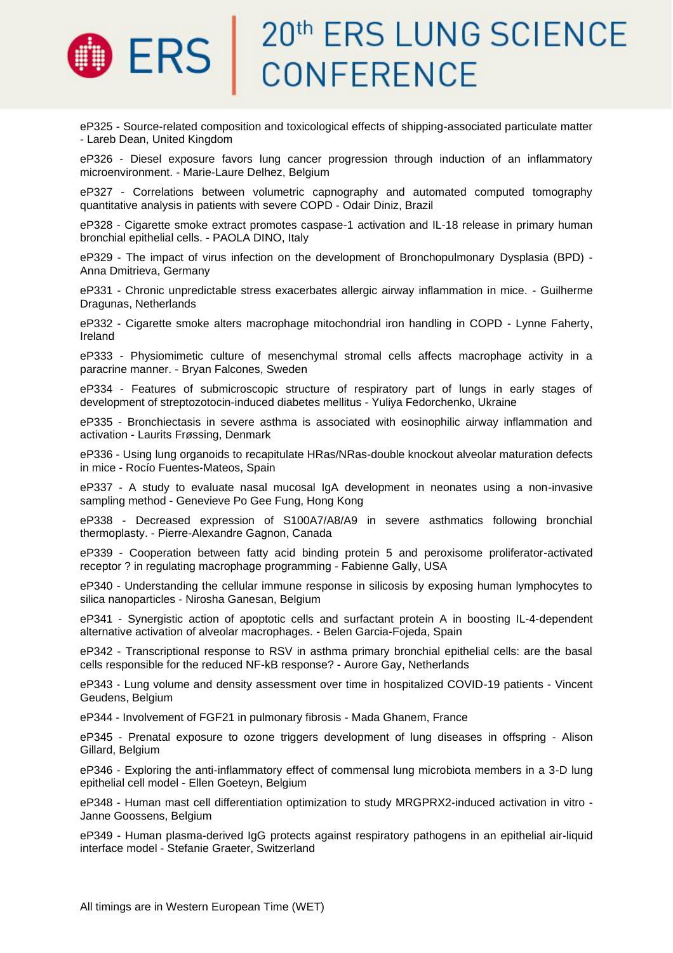### 20th ERS LUNG SCIENCE ERS | CONFERENCE

eP325 - Source-related composition and toxicological effects of shipping-associated particulate matter - Lareb Dean, United Kingdom

eP326 - Diesel exposure favors lung cancer progression through induction of an inflammatory microenvironment. - Marie-Laure Delhez, Belgium

eP327 - Correlations between volumetric capnography and automated computed tomography quantitative analysis in patients with severe COPD - Odair Diniz, Brazil

eP328 - Cigarette smoke extract promotes caspase-1 activation and IL-18 release in primary human bronchial epithelial cells. - PAOLA DINO, Italy

eP329 - The impact of virus infection on the development of Bronchopulmonary Dysplasia (BPD) - Anna Dmitrieva, Germany

eP331 - Chronic unpredictable stress exacerbates allergic airway inflammation in mice. - Guilherme Dragunas, Netherlands

eP332 - Cigarette smoke alters macrophage mitochondrial iron handling in COPD - Lynne Faherty, Ireland

eP333 - Physiomimetic culture of mesenchymal stromal cells affects macrophage activity in a paracrine manner. - Bryan Falcones, Sweden

eP334 - Features of submicroscopic structure of respiratory part of lungs in early stages of development of streptozotocin-induced diabetes mellitus - Yuliya Fedorchenko, Ukraine

eP335 - Bronchiectasis in severe asthma is associated with eosinophilic airway inflammation and activation - Laurits Frøssing, Denmark

eP336 - Using lung organoids to recapitulate HRas/NRas-double knockout alveolar maturation defects in mice - Rocío Fuentes-Mateos, Spain

eP337 - A study to evaluate nasal mucosal IgA development in neonates using a non-invasive sampling method - Genevieve Po Gee Fung, Hong Kong

eP338 - Decreased expression of S100A7/A8/A9 in severe asthmatics following bronchial thermoplasty. - Pierre-Alexandre Gagnon, Canada

eP339 - Cooperation between fatty acid binding protein 5 and peroxisome proliferator-activated receptor ? in regulating macrophage programming - Fabienne Gally, USA

eP340 - Understanding the cellular immune response in silicosis by exposing human lymphocytes to silica nanoparticles - Nirosha Ganesan, Belgium

eP341 - Synergistic action of apoptotic cells and surfactant protein A in boosting IL-4-dependent alternative activation of alveolar macrophages. - Belen Garcia-Fojeda, Spain

eP342 - Transcriptional response to RSV in asthma primary bronchial epithelial cells: are the basal cells responsible for the reduced NF-kB response? - Aurore Gay, Netherlands

eP343 - Lung volume and density assessment over time in hospitalized COVID-19 patients - Vincent Geudens, Belgium

eP344 - Involvement of FGF21 in pulmonary fibrosis - Mada Ghanem, France

eP345 - Prenatal exposure to ozone triggers development of lung diseases in offspring - Alison Gillard, Belgium

eP346 - Exploring the anti-inflammatory effect of commensal lung microbiota members in a 3-D lung epithelial cell model - Ellen Goeteyn, Belgium

eP348 - Human mast cell differentiation optimization to study MRGPRX2-induced activation in vitro - Janne Goossens, Belgium

eP349 - Human plasma-derived IgG protects against respiratory pathogens in an epithelial air-liquid interface model - Stefanie Graeter, Switzerland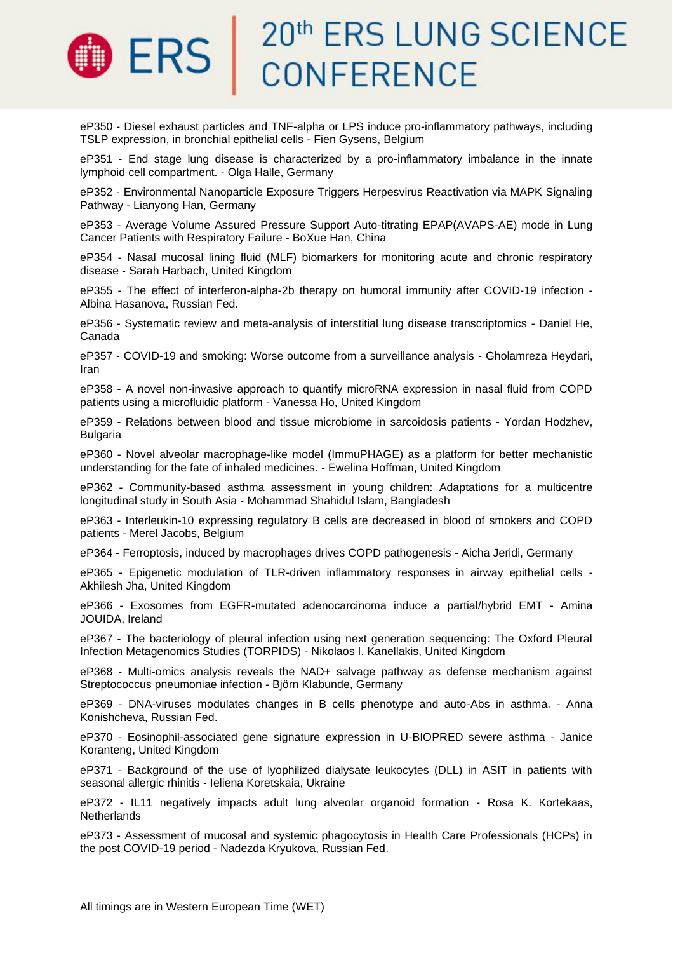

eP350 - Diesel exhaust particles and TNF-alpha or LPS induce pro-inflammatory pathways, including TSLP expression, in bronchial epithelial cells - Fien Gysens, Belgium

eP351 - End stage lung disease is characterized by a pro-inflammatory imbalance in the innate lymphoid cell compartment. - Olga Halle, Germany

eP352 - Environmental Nanoparticle Exposure Triggers Herpesvirus Reactivation via MAPK Signaling Pathway - Lianyong Han, Germany

eP353 - Average Volume Assured Pressure Support Auto-titrating EPAP(AVAPS-AE) mode in Lung Cancer Patients with Respiratory Failure - BoXue Han, China

eP354 - Nasal mucosal lining fluid (MLF) biomarkers for monitoring acute and chronic respiratory disease - Sarah Harbach, United Kingdom

eP355 - The effect of interferon-alpha-2b therapy on humoral immunity after COVID-19 infection - Albina Hasanova, Russian Fed.

eP356 - Systematic review and meta-analysis of interstitial lung disease transcriptomics - Daniel He, Canada

eP357 - COVID-19 and smoking: Worse outcome from a surveillance analysis - Gholamreza Heydari, Iran

eP358 - A novel non-invasive approach to quantify microRNA expression in nasal fluid from COPD patients using a microfluidic platform - Vanessa Ho, United Kingdom

eP359 - Relations between blood and tissue microbiome in sarcoidosis patients - Yordan Hodzhev, Bulgaria

eP360 - Novel alveolar macrophage-like model (ImmuPHAGE) as a platform for better mechanistic understanding for the fate of inhaled medicines. - Ewelina Hoffman, United Kingdom

eP362 - Community-based asthma assessment in young children: Adaptations for a multicentre longitudinal study in South Asia - Mohammad Shahidul Islam, Bangladesh

eP363 - Interleukin-10 expressing regulatory B cells are decreased in blood of smokers and COPD patients - Merel Jacobs, Belgium

eP364 - Ferroptosis, induced by macrophages drives COPD pathogenesis - Aicha Jeridi, Germany

eP365 - Epigenetic modulation of TLR-driven inflammatory responses in airway epithelial cells - Akhilesh Jha, United Kingdom

eP366 - Exosomes from EGFR-mutated adenocarcinoma induce a partial/hybrid EMT - Amina JOUIDA, Ireland

eP367 - The bacteriology of pleural infection using next generation sequencing: The Oxford Pleural Infection Metagenomics Studies (TORPIDS) - Nikolaos I. Kanellakis, United Kingdom

eP368 - Multi-omics analysis reveals the NAD+ salvage pathway as defense mechanism against Streptococcus pneumoniae infection - Björn Klabunde, Germany

eP369 - DNA-viruses modulates changes in B cells phenotype and auto-Abs in asthma. - Anna Konishcheva, Russian Fed.

eP370 - Eosinophil-associated gene signature expression in U-BIOPRED severe asthma - Janice Koranteng, United Kingdom

eP371 - Background of the use of lyophilized dialysate leukocytes (DLL) in ASIT in patients with seasonal allergic rhinitis - Ieliena Koretskaia, Ukraine

eP372 - IL11 negatively impacts adult lung alveolar organoid formation - Rosa K. Kortekaas, **Netherlands** 

eP373 - Assessment of mucosal and systemic phagocytosis in Health Care Professionals (HCPs) in the post COVID-19 period - Nadezda Kryukova, Russian Fed.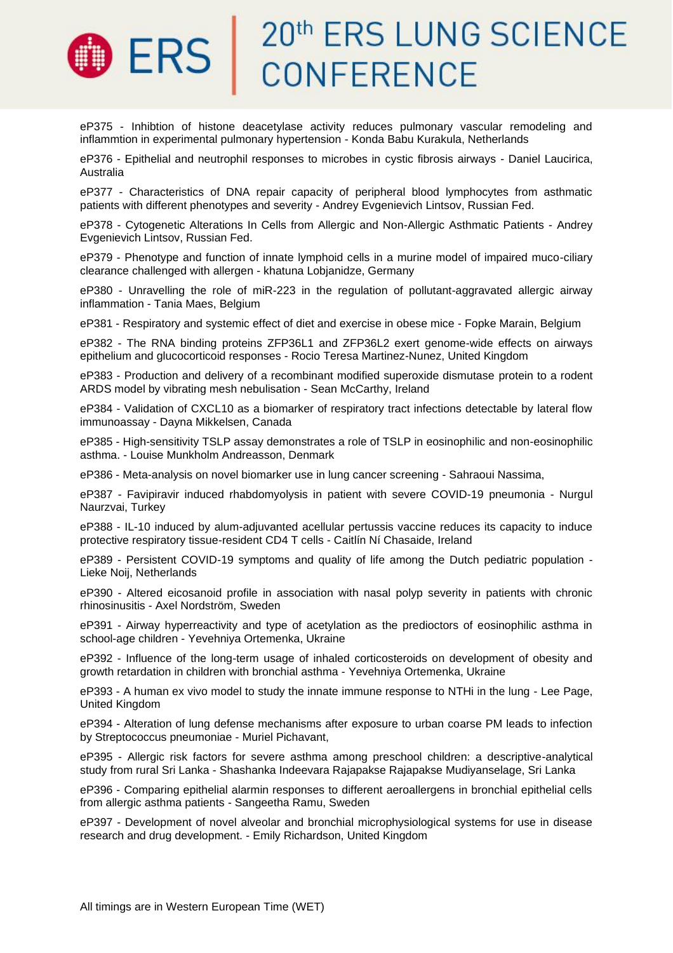

eP375 - Inhibtion of histone deacetylase activity reduces pulmonary vascular remodeling and inflammtion in experimental pulmonary hypertension - Konda Babu Kurakula, Netherlands

eP376 - Epithelial and neutrophil responses to microbes in cystic fibrosis airways - Daniel Laucirica, Australia

eP377 - Characteristics of DNA repair capacity of peripheral blood lymphocytes from asthmatic patients with different phenotypes and severity - Andrey Evgenievich Lintsov, Russian Fed.

eP378 - Cytogenetic Alterations In Cells from Allergic and Non-Allergic Asthmatic Patients - Andrey Evgenievich Lintsov, Russian Fed.

eP379 - Phenotype and function of innate lymphoid cells in a murine model of impaired muco-ciliary clearance challenged with allergen - khatuna Lobjanidze, Germany

eP380 - Unravelling the role of miR-223 in the regulation of pollutant-aggravated allergic airway inflammation - Tania Maes, Belgium

eP381 - Respiratory and systemic effect of diet and exercise in obese mice - Fopke Marain, Belgium

eP382 - The RNA binding proteins ZFP36L1 and ZFP36L2 exert genome-wide effects on airways epithelium and glucocorticoid responses - Rocio Teresa Martinez-Nunez, United Kingdom

eP383 - Production and delivery of a recombinant modified superoxide dismutase protein to a rodent ARDS model by vibrating mesh nebulisation - Sean McCarthy, Ireland

eP384 - Validation of CXCL10 as a biomarker of respiratory tract infections detectable by lateral flow immunoassay - Dayna Mikkelsen, Canada

eP385 - High-sensitivity TSLP assay demonstrates a role of TSLP in eosinophilic and non-eosinophilic asthma. - Louise Munkholm Andreasson, Denmark

eP386 - Meta-analysis on novel biomarker use in lung cancer screening - Sahraoui Nassima,

eP387 - Favipiravir induced rhabdomyolysis in patient with severe COVID-19 pneumonia - Nurgul Naurzvai, Turkey

eP388 - IL-10 induced by alum-adjuvanted acellular pertussis vaccine reduces its capacity to induce protective respiratory tissue-resident CD4 T cells - Caitlín Ní Chasaide, Ireland

eP389 - Persistent COVID-19 symptoms and quality of life among the Dutch pediatric population - Lieke Noij, Netherlands

eP390 - Altered eicosanoid profile in association with nasal polyp severity in patients with chronic rhinosinusitis - Axel Nordström, Sweden

eP391 - Airway hyperreactivity and type of acetylation as the predioctors of eosinophilic asthma in school-age children - Yevehniya Ortemenka, Ukraine

eP392 - Influence of the long-term usage of inhaled corticosteroids on development of obesity and growth retardation in children with bronchial asthma - Yevehniya Ortemenka, Ukraine

eP393 - A human ex vivo model to study the innate immune response to NTHi in the lung - Lee Page, United Kingdom

eP394 - Alteration of lung defense mechanisms after exposure to urban coarse PM leads to infection by Streptococcus pneumoniae - Muriel Pichavant,

eP395 - Allergic risk factors for severe asthma among preschool children: a descriptive-analytical study from rural Sri Lanka - Shashanka Indeevara Rajapakse Rajapakse Mudiyanselage, Sri Lanka

eP396 - Comparing epithelial alarmin responses to different aeroallergens in bronchial epithelial cells from allergic asthma patients - Sangeetha Ramu, Sweden

eP397 - Development of novel alveolar and bronchial microphysiological systems for use in disease research and drug development. - Emily Richardson, United Kingdom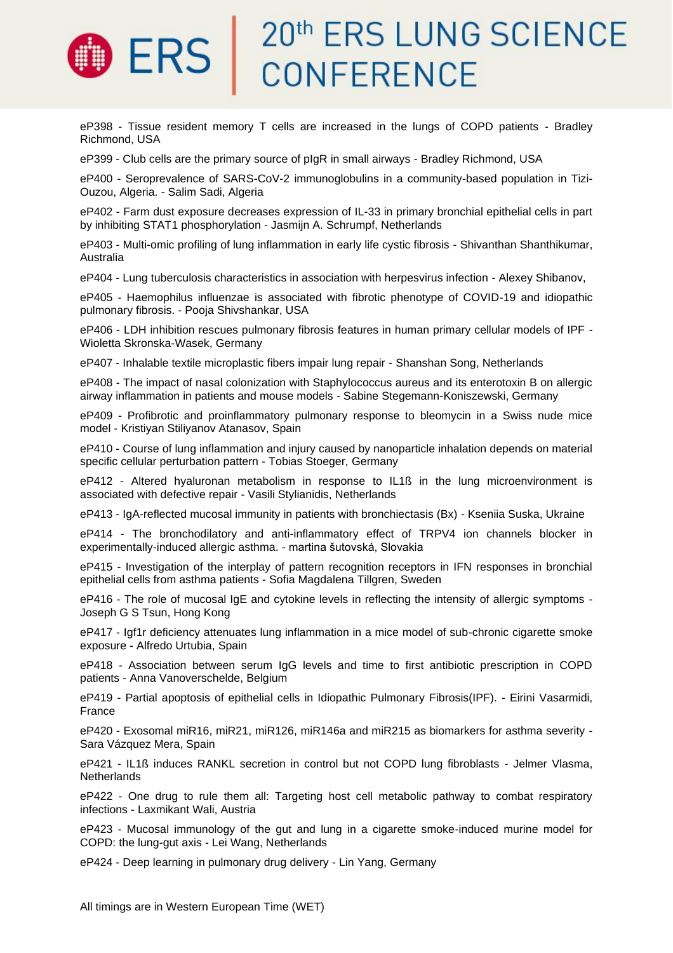### 20th ERS LUNG SCIENCE **ERS CONFERENCE**

eP398 - Tissue resident memory T cells are increased in the lungs of COPD patients - Bradley Richmond, USA

eP399 - Club cells are the primary source of pIgR in small airways - Bradley Richmond, USA

eP400 - Seroprevalence of SARS-CoV-2 immunoglobulins in a community-based population in Tizi-Ouzou, Algeria. - Salim Sadi, Algeria

eP402 - Farm dust exposure decreases expression of IL-33 in primary bronchial epithelial cells in part by inhibiting STAT1 phosphorylation - Jasmijn A. Schrumpf, Netherlands

eP403 - Multi-omic profiling of lung inflammation in early life cystic fibrosis - Shivanthan Shanthikumar, Australia

eP404 - Lung tuberculosis characteristics in association with herpesvirus infection - Alexey Shibanov,

eP405 - Haemophilus influenzae is associated with fibrotic phenotype of COVID-19 and idiopathic pulmonary fibrosis. - Pooja Shivshankar, USA

eP406 - LDH inhibition rescues pulmonary fibrosis features in human primary cellular models of IPF - Wioletta Skronska-Wasek, Germany

eP407 - Inhalable textile microplastic fibers impair lung repair - Shanshan Song, Netherlands

eP408 - The impact of nasal colonization with Staphylococcus aureus and its enterotoxin B on allergic airway inflammation in patients and mouse models - Sabine Stegemann-Koniszewski, Germany

eP409 - Profibrotic and proinflammatory pulmonary response to bleomycin in a Swiss nude mice model - Kristiyan Stiliyanov Atanasov, Spain

eP410 - Course of lung inflammation and injury caused by nanoparticle inhalation depends on material specific cellular perturbation pattern - Tobias Stoeger, Germany

eP412 - Altered hyaluronan metabolism in response to IL1ß in the lung microenvironment is associated with defective repair - Vasili Stylianidis, Netherlands

eP413 - IgA-reflected mucosal immunity in patients with bronchiectasis (Bx) - Kseniia Suska, Ukraine

eP414 - The bronchodilatory and anti-inflammatory effect of TRPV4 ion channels blocker in experimentally-induced allergic asthma. - martina šutovská, Slovakia

eP415 - Investigation of the interplay of pattern recognition receptors in IFN responses in bronchial epithelial cells from asthma patients - Sofia Magdalena Tillgren, Sweden

eP416 - The role of mucosal IgE and cytokine levels in reflecting the intensity of allergic symptoms - Joseph G S Tsun, Hong Kong

eP417 - Igf1r deficiency attenuates lung inflammation in a mice model of sub-chronic cigarette smoke exposure - Alfredo Urtubia, Spain

eP418 - Association between serum IgG levels and time to first antibiotic prescription in COPD patients - Anna Vanoverschelde, Belgium

eP419 - Partial apoptosis of epithelial cells in Idiopathic Pulmonary Fibrosis(IPF). - Eirini Vasarmidi, France

eP420 - Exosomal miR16, miR21, miR126, miR146a and miR215 as biomarkers for asthma severity - Sara Vázquez Mera, Spain

eP421 - IL1ß induces RANKL secretion in control but not COPD lung fibroblasts - Jelmer Vlasma, **Netherlands** 

eP422 - One drug to rule them all: Targeting host cell metabolic pathway to combat respiratory infections - Laxmikant Wali, Austria

eP423 - Mucosal immunology of the gut and lung in a cigarette smoke-induced murine model for COPD: the lung-gut axis - Lei Wang, Netherlands

eP424 - Deep learning in pulmonary drug delivery - Lin Yang, Germany